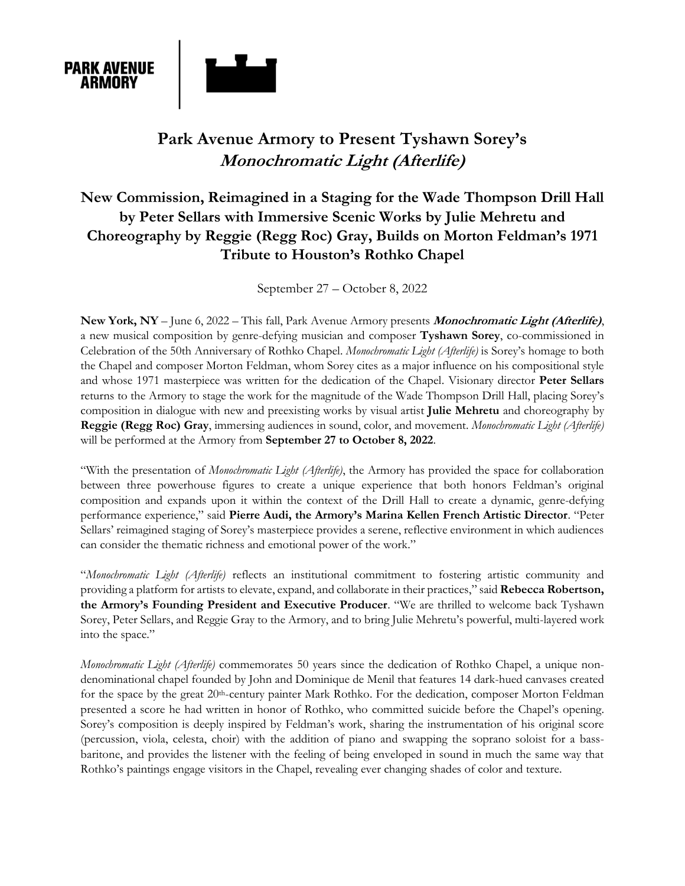

# **Park Avenue Armory to Present Tyshawn Sorey's Monochromatic Light (Afterlife)**

## **New Commission, Reimagined in a Staging for the Wade Thompson Drill Hall by Peter Sellars with Immersive Scenic Works by Julie Mehretu and Choreography by Reggie (Regg Roc) Gray, Builds on Morton Feldman's 1971 Tribute to Houston's Rothko Chapel**

September 27 – October 8, 2022

**New York, NY** – June 6, 2022 – This fall, Park Avenue Armory presents **Monochromatic Light (Afterlife)**, a new musical composition by genre-defying musician and composer **Tyshawn Sorey**, co-commissioned in Celebration of the 50th Anniversary of Rothko Chapel. *Monochromatic Light (Afterlife)* is Sorey's homage to both the Chapel and composer Morton Feldman, whom Sorey cites as a major influence on his compositional style and whose 1971 masterpiece was written for the dedication of the Chapel. Visionary director **Peter Sellars**  returns to the Armory to stage the work for the magnitude of the Wade Thompson Drill Hall, placing Sorey's composition in dialogue with new and preexisting works by visual artist **Julie Mehretu** and choreography by **Reggie (Regg Roc) Gray**, immersing audiences in sound, color, and movement. *Monochromatic Light (Afterlife)* will be performed at the Armory from **September 27 to October 8, 2022**.

"With the presentation of *Monochromatic Light (Afterlife)*, the Armory has provided the space for collaboration between three powerhouse figures to create a unique experience that both honors Feldman's original composition and expands upon it within the context of the Drill Hall to create a dynamic, genre-defying performance experience," said **Pierre Audi, the Armory's Marina Kellen French Artistic Director**. "Peter Sellars' reimagined staging of Sorey's masterpiece provides a serene, reflective environment in which audiences can consider the thematic richness and emotional power of the work."

"*Monochromatic Light (Afterlife)* reflects an institutional commitment to fostering artistic community and providing a platform for artists to elevate, expand, and collaborate in their practices," said **Rebecca Robertson, the Armory's Founding President and Executive Producer**. "We are thrilled to welcome back Tyshawn Sorey, Peter Sellars, and Reggie Gray to the Armory, and to bring Julie Mehretu's powerful, multi-layered work into the space."

*Monochromatic Light (Afterlife)* commemorates 50 years since the dedication of Rothko Chapel, a unique nondenominational chapel founded by John and Dominique de Menil that features 14 dark-hued canvases created for the space by the great 20<sup>th</sup>-century painter Mark Rothko. For the dedication, composer Morton Feldman presented a score he had written in honor of Rothko, who committed suicide before the Chapel's opening. Sorey's composition is deeply inspired by Feldman's work, sharing the instrumentation of his original score (percussion, viola, celesta, choir) with the addition of piano and swapping the soprano soloist for a bassbaritone, and provides the listener with the feeling of being enveloped in sound in much the same way that Rothko's paintings engage visitors in the Chapel, revealing ever changing shades of color and texture.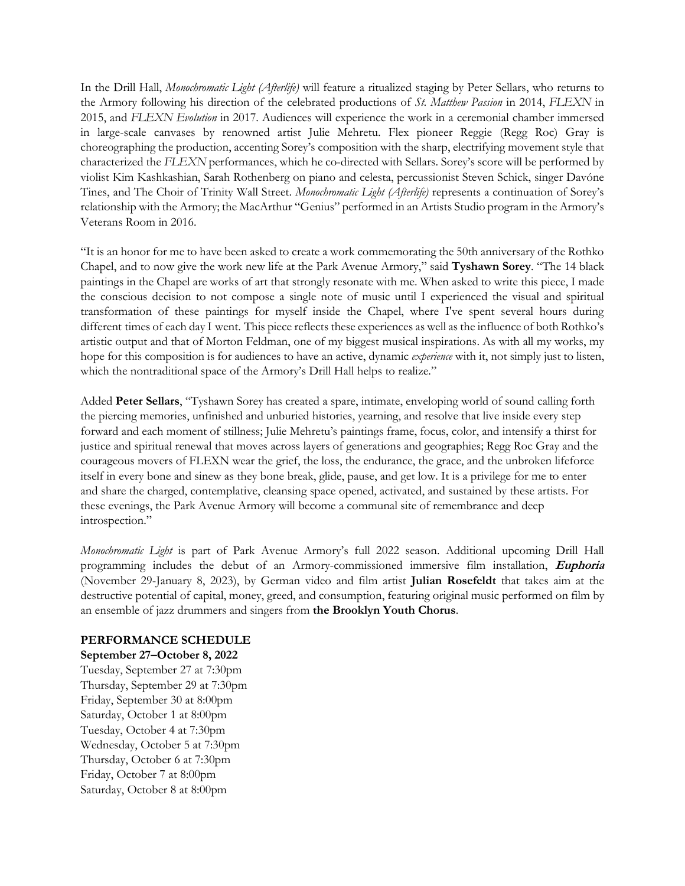In the Drill Hall, *Monochromatic Light (Afterlife)* will feature a ritualized staging by Peter Sellars, who returns to the Armory following his direction of the celebrated productions of *St. Matthew Passion* in 2014, *FLEXN* in 2015, and *FLEXN Evolution* in 2017. Audiences will experience the work in a ceremonial chamber immersed in large-scale canvases by renowned artist Julie Mehretu. Flex pioneer Reggie (Regg Roc) Gray is choreographing the production, accenting Sorey's composition with the sharp, electrifying movement style that characterized the *FLEXN* performances, which he co-directed with Sellars. Sorey's score will be performed by violist Kim Kashkashian, Sarah Rothenberg on piano and celesta, percussionist Steven Schick, singer Davóne Tines, and The Choir of Trinity Wall Street. *Monochromatic Light (Afterlife)* represents a continuation of Sorey's relationship with the Armory; the MacArthur "Genius" performed in an Artists Studio program in the Armory's Veterans Room in 2016.

"It is an honor for me to have been asked to create a work commemorating the 50th anniversary of the Rothko Chapel, and to now give the work new life at the Park Avenue Armory," said **Tyshawn Sorey**. "The 14 black paintings in the Chapel are works of art that strongly resonate with me. When asked to write this piece, I made the conscious decision to not compose a single note of music until I experienced the visual and spiritual transformation of these paintings for myself inside the Chapel, where I've spent several hours during different times of each day I went. This piece reflects these experiences as well as the influence of both Rothko's artistic output and that of Morton Feldman, one of my biggest musical inspirations. As with all my works, my hope for this composition is for audiences to have an active, dynamic *experience* with it, not simply just to listen, which the nontraditional space of the Armory's Drill Hall helps to realize."

Added **Peter Sellars**, "Tyshawn Sorey has created a spare, intimate, enveloping world of sound calling forth the piercing memories, unfinished and unburied histories, yearning, and resolve that live inside every step forward and each moment of stillness; Julie Mehretu's paintings frame, focus, color, and intensify a thirst for justice and spiritual renewal that moves across layers of generations and geographies; Regg Roc Gray and the courageous movers of FLEXN wear the grief, the loss, the endurance, the grace, and the unbroken lifeforce itself in every bone and sinew as they bone break, glide, pause, and get low. It is a privilege for me to enter and share the charged, contemplative, cleansing space opened, activated, and sustained by these artists. For these evenings, the Park Avenue Armory will become a communal site of remembrance and deep introspection."

*Monochromatic Light* is part of Park Avenue Armory's full 2022 season. Additional upcoming Drill Hall programming includes the debut of an Armory-commissioned immersive film installation, **Euphoria**  (November 29-January 8, 2023), by German video and film artist **Julian Rosefeldt** that takes aim at the destructive potential of capital, money, greed, and consumption, featuring original music performed on film by an ensemble of jazz drummers and singers from **the Brooklyn Youth Chorus**.

#### **PERFORMANCE SCHEDULE**

#### **September 27–October 8, 2022**

Tuesday, September 27 at 7:30pm Thursday, September 29 at 7:30pm Friday, September 30 at 8:00pm Saturday, October 1 at 8:00pm Tuesday, October 4 at 7:30pm Wednesday, October 5 at 7:30pm Thursday, October 6 at 7:30pm Friday, October 7 at 8:00pm Saturday, October 8 at 8:00pm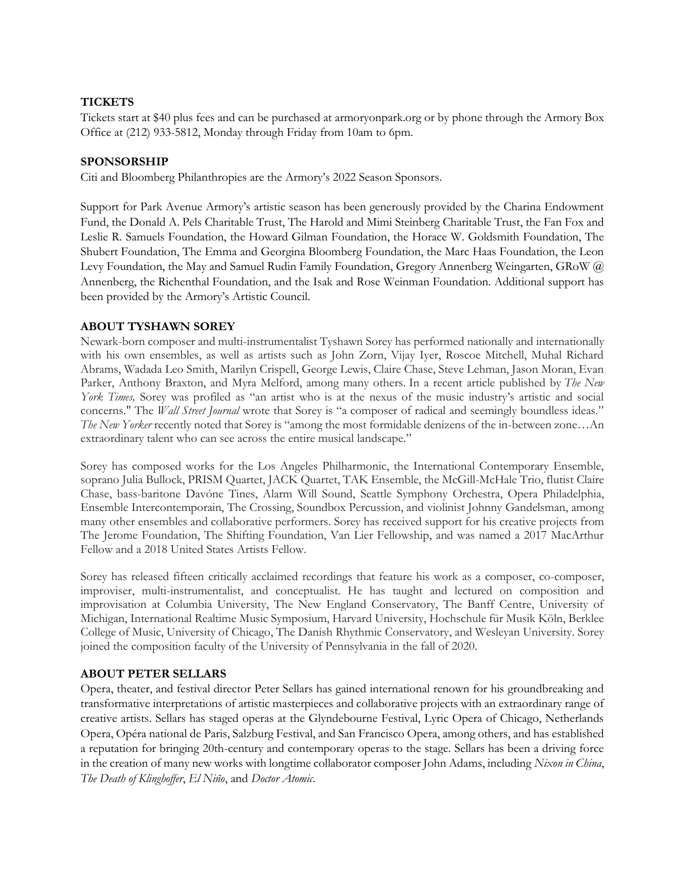## **TICKETS**

Tickets start at \$40 plus fees and can be purchased at armoryonpark.org or by phone through the Armory Box Office at (212) 933-5812, Monday through Friday from 10am to 6pm.

#### **SPONSORSHIP**

Citi and Bloomberg Philanthropies are the Armory's 2022 Season Sponsors.

Support for Park Avenue Armory's artistic season has been generously provided by the Charina Endowment Fund, the Donald A. Pels Charitable Trust, The Harold and Mimi Steinberg Charitable Trust, the Fan Fox and Leslie R. Samuels Foundation, the Howard Gilman Foundation, the Horace W. Goldsmith Foundation, The Shubert Foundation, The Emma and Georgina Bloomberg Foundation, the Marc Haas Foundation, the Leon Levy Foundation, the May and Samuel Rudin Family Foundation, Gregory Annenberg Weingarten, GRoW @ Annenberg, the Richenthal Foundation, and the Isak and Rose Weinman Foundation. Additional support has been provided by the Armory's Artistic Council.

## **ABOUT TYSHAWN SOREY**

Newark-born composer and multi-instrumentalist Tyshawn Sorey has performed nationally and internationally with his own ensembles, as well as artists such as John Zorn, Vijay Iyer, Roscoe Mitchell, Muhal Richard Abrams, Wadada Leo Smith, Marilyn Crispell, George Lewis, Claire Chase, Steve Lehman, Jason Moran, Evan Parker, Anthony Braxton, and Myra Melford, among many others. In a recent article published by *The New York Times,* Sorey was profiled as "an artist who is at the nexus of the music industry's artistic and social concerns." The *Wall Street Journal* wrote that Sorey is "a composer of radical and seemingly boundless ideas." *The New Yorker* recently noted that Sorey is "among the most formidable denizens of the in-between zone…An extraordinary talent who can see across the entire musical landscape."

Sorey has composed works for the Los Angeles Philharmonic, the International Contemporary Ensemble, soprano Julia Bullock, PRISM Quartet, JACK Quartet, TAK Ensemble, the McGill-McHale Trio, flutist Claire Chase, bass-baritone Davóne Tines, Alarm Will Sound, Seattle Symphony Orchestra, Opera Philadelphia, Ensemble Intercontemporain, The Crossing, Soundbox Percussion, and violinist Johnny Gandelsman, among many other ensembles and collaborative performers. Sorey has received support for his creative projects from The Jerome Foundation, The Shifting Foundation, Van Lier Fellowship, and was named a 2017 MacArthur Fellow and a 2018 United States Artists Fellow.

Sorey has released fifteen critically acclaimed recordings that feature his work as a composer, co-composer, improviser, multi-instrumentalist, and conceptualist. He has taught and lectured on composition and improvisation at Columbia University, The New England Conservatory, The Banff Centre, University of Michigan, International Realtime Music Symposium, Harvard University, Hochschule für Musik Köln, Berklee College of Music, University of Chicago, The Danish Rhythmic Conservatory, and Wesleyan University. Sorey joined the composition faculty of the University of Pennsylvania in the fall of 2020.

#### **ABOUT PETER SELLARS**

Opera, theater, and festival director Peter Sellars has gained international renown for his groundbreaking and transformative interpretations of artistic masterpieces and collaborative projects with an extraordinary range of creative artists. Sellars has staged operas at the Glyndebourne Festival, Lyric Opera of Chicago, Netherlands Opera, Opéra national de Paris, Salzburg Festival, and San Francisco Opera, among others, and has established a reputation for bringing 20th-century and contemporary operas to the stage. Sellars has been a driving force in the creation of many new works with longtime collaborator composer John Adams, including *Nixon in China*, *The Death of Klinghoffer*, *El Niño*, and *Doctor Atomic*.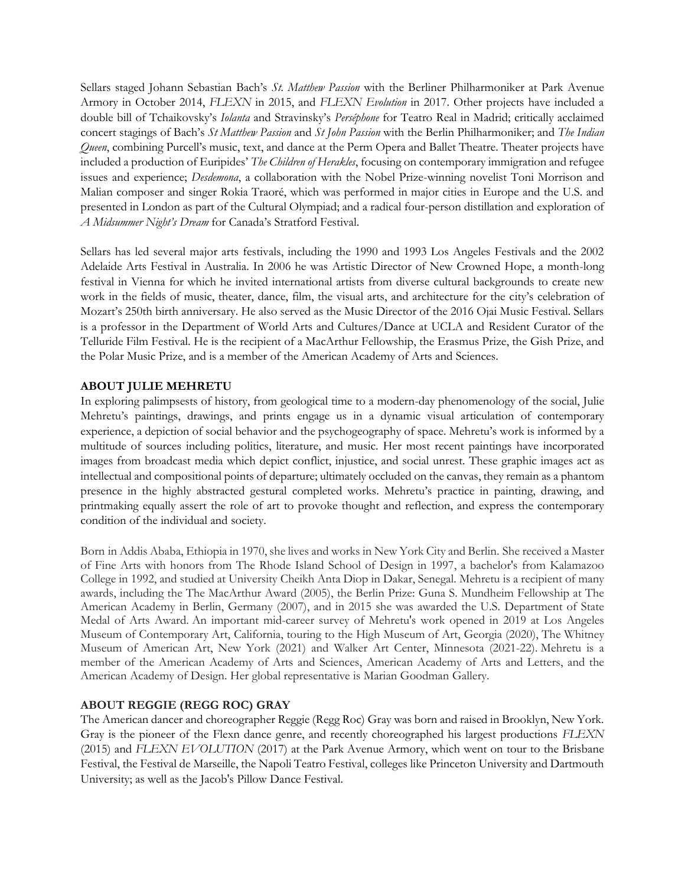Sellars staged Johann Sebastian Bach's *St. Matthew Passion* with the Berliner Philharmoniker at Park Avenue Armory in October 2014, *FLEXN* in 2015, and *FLEXN Evolution* in 2017. Other projects have included a double bill of Tchaikovsky's *Iolanta* and Stravinsky's *Perséphone* for Teatro Real in Madrid; critically acclaimed concert stagings of Bach's *St Matthew Passion* and *St John Passion* with the Berlin Philharmoniker; and *The Indian Queen*, combining Purcell's music, text, and dance at the Perm Opera and Ballet Theatre. Theater projects have included a production of Euripides' *The Children of Herakles*, focusing on contemporary immigration and refugee issues and experience; *Desdemona*, a collaboration with the Nobel Prize-winning novelist Toni Morrison and Malian composer and singer Rokia Traoré, which was performed in major cities in Europe and the U.S. and presented in London as part of the Cultural Olympiad; and a radical four-person distillation and exploration of *A Midsummer Night's Dream* for Canada's Stratford Festival.

Sellars has led several major arts festivals, including the 1990 and 1993 Los Angeles Festivals and the 2002 Adelaide Arts Festival in Australia. In 2006 he was Artistic Director of New Crowned Hope, a month-long festival in Vienna for which he invited international artists from diverse cultural backgrounds to create new work in the fields of music, theater, dance, film, the visual arts, and architecture for the city's celebration of Mozart's 250th birth anniversary. He also served as the Music Director of the 2016 Ojai Music Festival. Sellars is a professor in the Department of World Arts and Cultures/Dance at UCLA and Resident Curator of the Telluride Film Festival. He is the recipient of a MacArthur Fellowship, the Erasmus Prize, the Gish Prize, and the Polar Music Prize, and is a member of the American Academy of Arts and Sciences.

## **ABOUT JULIE MEHRETU**

In exploring palimpsests of history, from geological time to a modern-day phenomenology of the social, Julie Mehretu's paintings, drawings, and prints engage us in a dynamic visual articulation of contemporary experience, a depiction of social behavior and the psychogeography of space. Mehretu's work is informed by a multitude of sources including politics, literature, and music. Her most recent paintings have incorporated images from broadcast media which depict conflict, injustice, and social unrest. These graphic images act as intellectual and compositional points of departure; ultimately occluded on the canvas, they remain as a phantom presence in the highly abstracted gestural completed works. Mehretu's practice in painting, drawing, and printmaking equally assert the role of art to provoke thought and reflection, and express the contemporary condition of the individual and society.

Born in Addis Ababa, Ethiopia in 1970, she lives and works in New York City and Berlin. She received a Master of Fine Arts with honors from The Rhode Island School of Design in 1997, a bachelor's from Kalamazoo College in 1992, and studied at University Cheikh Anta Diop in Dakar, Senegal. Mehretu is a recipient of many awards, including the The MacArthur Award (2005), the Berlin Prize: Guna S. Mundheim Fellowship at The American Academy in Berlin, Germany (2007), and in 2015 she was awarded the U.S. Department of State Medal of Arts Award. An important mid-career survey of Mehretu's work opened in 2019 at Los Angeles Museum of Contemporary Art, California, touring to the High Museum of Art, Georgia (2020), The Whitney Museum of American Art, New York (2021) and Walker Art Center, Minnesota (2021-22). Mehretu is a member of the American Academy of Arts and Sciences, American Academy of Arts and Letters, and the American Academy of Design. Her global representative is Marian Goodman Gallery.

## **ABOUT REGGIE (REGG ROC) GRAY**

The American dancer and choreographer Reggie (Regg Roc) Gray was born and raised in Brooklyn, New York. Gray is the pioneer of the Flexn dance genre, and recently choreographed his largest productions *FLEXN* (2015) and *FLEXN EVOLUTION* (2017) at the Park Avenue Armory, which went on tour to the Brisbane Festival, the Festival de Marseille, the Napoli Teatro Festival, colleges like Princeton University and Dartmouth University; as well as the Jacob's Pillow Dance Festival.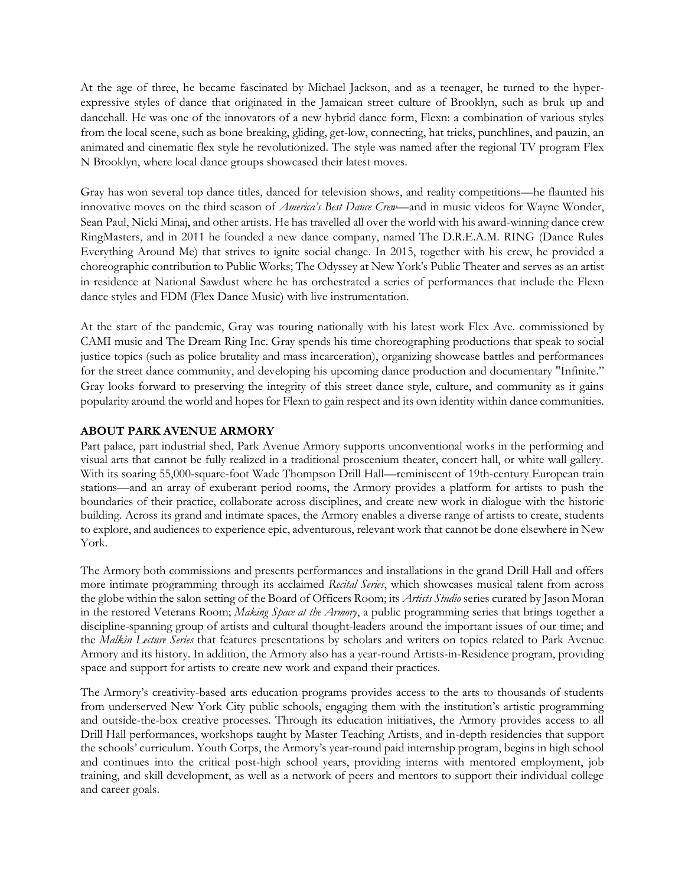At the age of three, he became fascinated by Michael Jackson, and as a teenager, he turned to the hyperexpressive styles of dance that originated in the Jamaican street culture of Brooklyn, such as bruk up and dancehall. He was one of the innovators of a new hybrid dance form, Flexn: a combination of various styles from the local scene, such as bone breaking, gliding, get-low, connecting, hat tricks, punchlines, and pauzin, an animated and cinematic flex style he revolutionized. The style was named after the regional TV program Flex N Brooklyn, where local dance groups showcased their latest moves.

Gray has won several top dance titles, danced for television shows, and reality competitions—he flaunted his innovative moves on the third season of *America's Best Dance Crew*—and in music videos for Wayne Wonder, Sean Paul, Nicki Minaj, and other artists. He has travelled all over the world with his award-winning dance crew RingMasters, and in 2011 he founded a new dance company, named The D.R.E.A.M. RING (Dance Rules Everything Around Me) that strives to ignite social change. In 2015, together with his crew, he provided a choreographic contribution to Public Works; The Odyssey at New York's Public Theater and serves as an artist in residence at National Sawdust where he has orchestrated a series of performances that include the Flexn dance styles and FDM (Flex Dance Music) with live instrumentation.

At the start of the pandemic, Gray was touring nationally with his latest work Flex Ave. commissioned by CAMI music and The Dream Ring Inc. Gray spends his time choreographing productions that speak to social justice topics (such as police brutality and mass incarceration), organizing showcase battles and performances for the street dance community, and developing his upcoming dance production and documentary "Infinite." Gray looks forward to preserving the integrity of this street dance style, culture, and community as it gains popularity around the world and hopes for Flexn to gain respect and its own identity within dance communities.

#### **ABOUT PARK AVENUE ARMORY**

Part palace, part industrial shed, Park Avenue Armory supports unconventional works in the performing and visual arts that cannot be fully realized in a traditional proscenium theater, concert hall, or white wall gallery. With its soaring 55,000-square-foot Wade Thompson Drill Hall—reminiscent of 19th-century European train stations—and an array of exuberant period rooms, the Armory provides a platform for artists to push the boundaries of their practice, collaborate across disciplines, and create new work in dialogue with the historic building. Across its grand and intimate spaces, the Armory enables a diverse range of artists to create, students to explore, and audiences to experience epic, adventurous, relevant work that cannot be done elsewhere in New York.

The Armory both commissions and presents performances and installations in the grand Drill Hall and offers more intimate programming through its acclaimed *Recital Series*, which showcases musical talent from across the globe within the salon setting of the Board of Officers Room; its *Artists Studio* series curated by Jason Moran in the restored Veterans Room; *Making Space at the Armory*, a public programming series that brings together a discipline-spanning group of artists and cultural thought-leaders around the important issues of our time; and the *Malkin Lecture Series* that features presentations by scholars and writers on topics related to Park Avenue Armory and its history. In addition, the Armory also has a year-round Artists-in-Residence program, providing space and support for artists to create new work and expand their practices.

The Armory's creativity-based arts education programs provides access to the arts to thousands of students from underserved New York City public schools, engaging them with the institution's artistic programming and outside-the-box creative processes. Through its education initiatives, the Armory provides access to all Drill Hall performances, workshops taught by Master Teaching Artists, and in-depth residencies that support the schools' curriculum. Youth Corps, the Armory's year-round paid internship program, begins in high school and continues into the critical post-high school years, providing interns with mentored employment, job training, and skill development, as well as a network of peers and mentors to support their individual college and career goals.